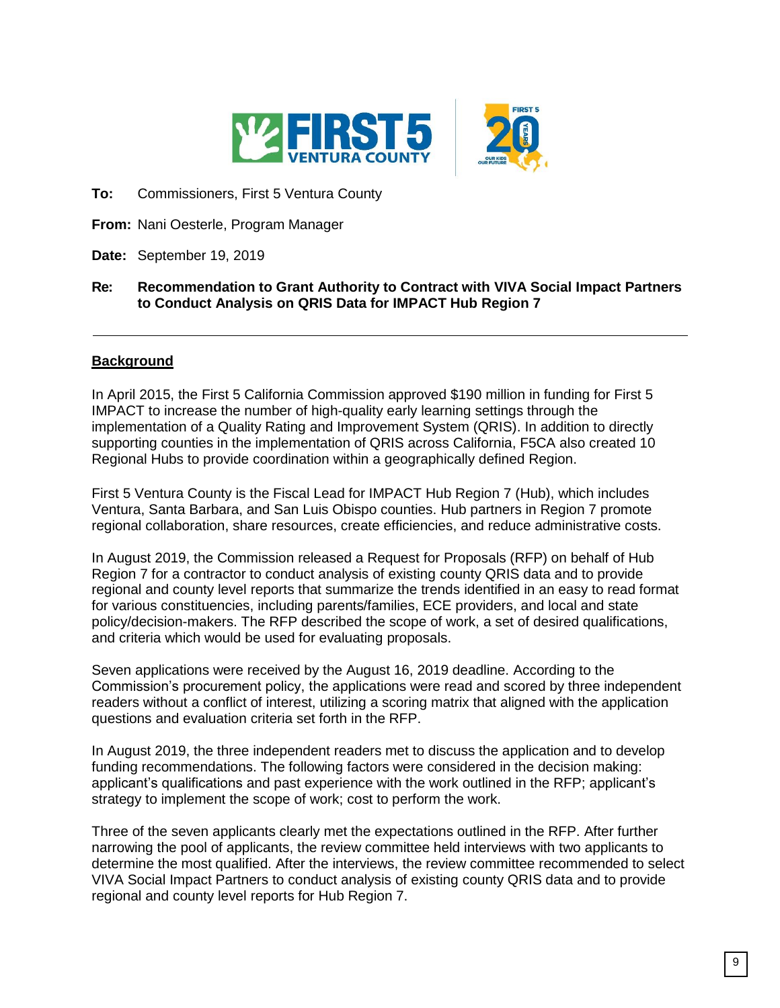

**To:** Commissioners, First 5 Ventura County

**From:** Nani Oesterle, Program Manager

## **Date:** September 19, 2019

## **Re: Recommendation to Grant Authority to Contract with VIVA Social Impact Partners to Conduct Analysis on QRIS Data for IMPACT Hub Region 7**

## **Background**

In April 2015, the First 5 California Commission approved \$190 million in funding for First 5 IMPACT to increase the number of high-quality early learning settings through the implementation of a Quality Rating and Improvement System (QRIS). In addition to directly supporting counties in the implementation of QRIS across California, F5CA also created 10 Regional Hubs to provide coordination within a geographically defined Region.

First 5 Ventura County is the Fiscal Lead for IMPACT Hub Region 7 (Hub), which includes Ventura, Santa Barbara, and San Luis Obispo counties. Hub partners in Region 7 promote regional collaboration, share resources, create efficiencies, and reduce administrative costs.

In August 2019, the Commission released a Request for Proposals (RFP) on behalf of Hub Region 7 for a contractor to conduct analysis of existing county QRIS data and to provide regional and county level reports that summarize the trends identified in an easy to read format for various constituencies, including parents/families, ECE providers, and local and state policy/decision-makers. The RFP described the scope of work, a set of desired qualifications, and criteria which would be used for evaluating proposals.

Seven applications were received by the August 16, 2019 deadline. According to the Commission's procurement policy, the applications were read and scored by three independent readers without a conflict of interest, utilizing a scoring matrix that aligned with the application questions and evaluation criteria set forth in the RFP.

In August 2019, the three independent readers met to discuss the application and to develop funding recommendations. The following factors were considered in the decision making: applicant's qualifications and past experience with the work outlined in the RFP; applicant's strategy to implement the scope of work; cost to perform the work.

Three of the seven applicants clearly met the expectations outlined in the RFP. After further narrowing the pool of applicants, the review committee held interviews with two applicants to determine the most qualified. After the interviews, the review committee recommended to select VIVA Social Impact Partners to conduct analysis of existing county QRIS data and to provide regional and county level reports for Hub Region 7.